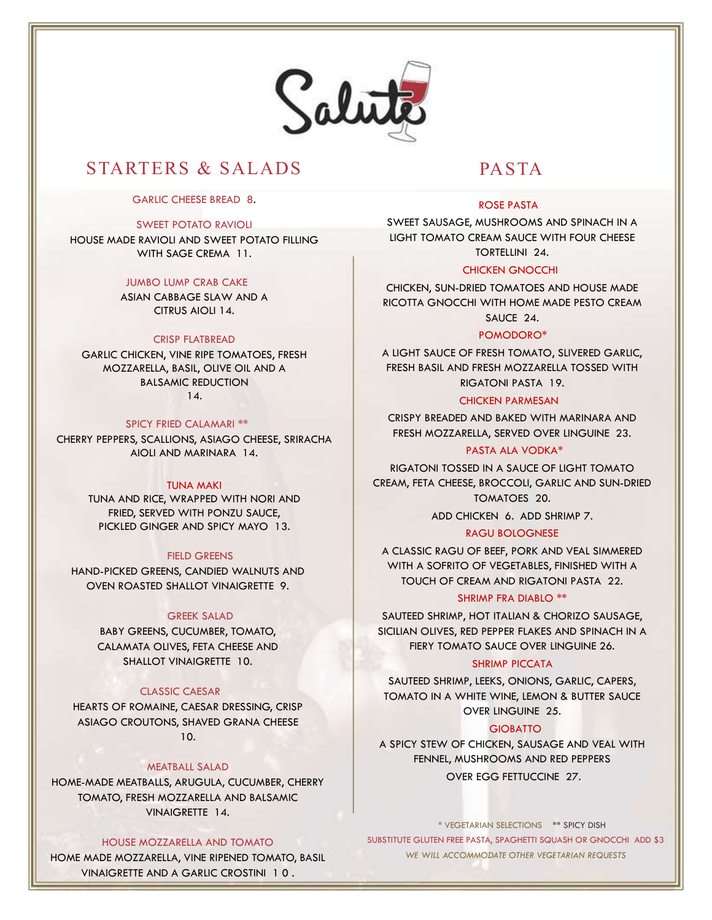

# STARTERS & SALADS PASTA

## GARLIC CHEESE BREAD 8.

#### SWEET POTATO RAVIOLI

HOUSE MADE RAVIOLI AND SWEET POTATO FILLING WITH SAGE CREMA 11.

# JUMBO LUMP CRAB CAKE

ASIAN CABBAGE SLAW AND A CITRUS AIOLI 14.

## CRISP FLATBREAD

GARLIC CHICKEN, VINE RIPE TOMATOES, FRESH MOZZARELLA, BASIL, OLIVE OIL AND A BALSAMIC REDUCTION 14.

#### SPICY FRIED CALAMARI \*\*

CHERRY PEPPERS, SCALLIONS, ASIAGO CHEESE, SRIRACHA AIOLI AND MARINARA 14.

## TUNA MAKI

TUNA AND RICE, WRAPPED WITH NORI AND FRIED, SERVED WITH PONZU SAUCE, PICKLED GINGER AND SPICY MAYO 13.

# FIELD GREENS

HAND-PICKED GREENS, CANDIED WALNUTS AND OVEN ROASTED SHALLOT VINAIGRETTE 9.

#### GREEK SALAD

BABY GREENS, CUCUMBER, TOMATO, CALAMATA OLIVES, FETA CHEESE AND SHALLOT VINAIGRETTE 10.

#### CLASSIC CAESAR

HEARTS OF ROMAINE, CAESAR DRESSING, CRISP ASIAGO CROUTONS, SHAVED GRANA CHEESE 10.

# MEATBALL SALAD

HOME-MADE MEATBALLS, ARUGULA, CUCUMBER, CHERRY TOMATO, FRESH MOZZARELLA AND BALSAMIC VINAIGRETTE 14.

#### HOUSE MOZZARELLA AND TOMATO

HOME MADE MOZZARELLA, VINE RIPENED TOMATO, BASIL VINAIGRETTE AND A GARLIC CROSTINI 1 0 .

# ROSE PASTA

SWEET SAUSAGE, MUSHROOMS AND SPINACH IN A LIGHT TOMATO CREAM SAUCE WITH FOUR CHEESE TORTELLINI 24.

## CHICKEN GNOCCHI

CHICKEN, SUN-DRIED TOMATOES AND HOUSE MADE RICOTTA GNOCCHI WITH HOME MADE PESTO CREAM SAUCE 24.

#### POMODORO\*

A LIGHT SAUCE OF FRESH TOMATO, SLIVERED GARLIC, FRESH BASIL AND FRESH MOZZARELLA TOSSED WITH RIGATONI PASTA 19.

#### CHICKEN PARMESAN

CRISPY BREADED AND BAKED WITH MARINARA AND FRESH MOZZARELLA, SERVED OVER LINGUINE 23.

## PASTA ALA VODKA\*

RIGATONI TOSSED IN A SAUCE OF LIGHT TOMATO CREAM, FETA CHEESE, BROCCOLI, GARLIC AND SUN-DRIED TOMATOES 20.

ADD CHICKEN 6. ADD SHRIMP 7.

# RAGU BOLOGNESE

A CLASSIC RAGU OF BEEF, PORK AND VEAL SIMMERED WITH A SOFRITO OF VEGETABLES, FINISHED WITH A TOUCH OF CREAM AND RIGATONI PASTA 22.

#### SHRIMP FRA DIABLO \*\*

SAUTEED SHRIMP, HOT ITALIAN & CHORIZO SAUSAGE, SICILIAN OLIVES, RED PEPPER FLAKES AND SPINACH IN A FIERY TOMATO SAUCE OVER LINGUINE 26.

### SHRIMP PICCATA

SAUTEED SHRIMP, LEEKS, ONIONS, GARLIC, CAPERS, TOMATO IN A WHITE WINE, LEMON & BUTTER SAUCE OVER LINGUINE 25.

#### **GIOBATTO**

A SPICY STEW OF CHICKEN, SAUSAGE AND VEAL WITH FENNEL, MUSHROOMS AND RED PEPPERS OVER EGG FETTUCCINE 27.

\* VEGETARIAN SELECTIONS \*\* SPICY DISH

SUBSTITUTE GLUTEN FREE PASTA, SPAGHETTI SQUASH OR GNOCCHI ADD \$3 WE WILL ACCOMMODATE OTHER VEGETARIAN REQUESTS